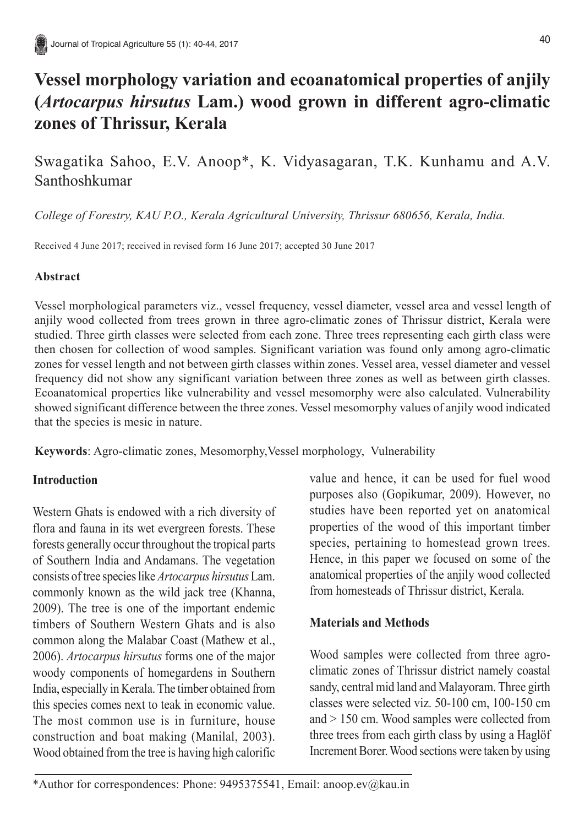# **Vessel morphology variation and ecoanatomical properties of anjily (***Artocarpus hirsutus* **Lam.) wood grown in different agro-climatic zones of Thrissur, Kerala**

Swagatika Sahoo, E.V. Anoop\*, K. Vidyasagaran, T.K. Kunhamu and A.V. Santhoshkumar

*College of Forestry, KAU P.O., Kerala Agricultural University, Thrissur 680656, Kerala, India.*

Received 4 June 2017; received in revised form 16 June 2017; accepted 30 June 2017

## **Abstract**

Vessel morphological parameters viz., vessel frequency, vessel diameter, vessel area and vessel length of anjily wood collected from trees grown in three agro-climatic zones of Thrissur district, Kerala were studied. Three girth classes were selected from each zone. Three trees representing each girth class were then chosen for collection of wood samples. Significant variation was found only among agro-climatic zones for vessel length and not between girth classes within zones. Vessel area, vessel diameter and vessel frequency did not show any significant variation between three zones as well as between girth classes. Ecoanatomical properties like vulnerability and vessel mesomorphy were also calculated. Vulnerability showed significant difference between the three zones. Vessel mesomorphy values of anjily wood indicated that the species is mesic in nature.

**Keywords**: Agro-climatic zones, Mesomorphy,Vessel morphology, Vulnerability

# **Introduction**

Western Ghats is endowed with a rich diversity of flora and fauna in its wet evergreen forests. These forests generally occur throughout the tropical parts of Southern India and Andamans. The vegetation consists of tree species like *Artocarpus hirsutus* Lam. commonly known as the wild jack tree (Khanna, 2009). The tree is one of the important endemic timbers of Southern Western Ghats and is also common along the Malabar Coast (Mathew et al., 2006). *Artocarpus hirsutus* forms one of the major woody components of homegardens in Southern India, especially in Kerala. The timber obtained from this species comes next to teak in economic value. The most common use is in furniture, house construction and boat making (Manilal, 2003). Wood obtained from the tree is having high calorific

value and hence, it can be used for fuel wood purposes also (Gopikumar, 2009). However, no studies have been reported yet on anatomical properties of the wood of this important timber species, pertaining to homestead grown trees. Hence, in this paper we focused on some of the anatomical properties of the anjily wood collected from homesteads of Thrissur district, Kerala.

# **Materials and Methods**

Wood samples were collected from three agroclimatic zones of Thrissur district namely coastal sandy, central mid land and Malayoram. Three girth classes were selected viz. 50-100 cm, 100-150 cm and > 150 cm. Wood samples were collected from three trees from each girth class by using a Haglöf Increment Borer. Wood sections were taken by using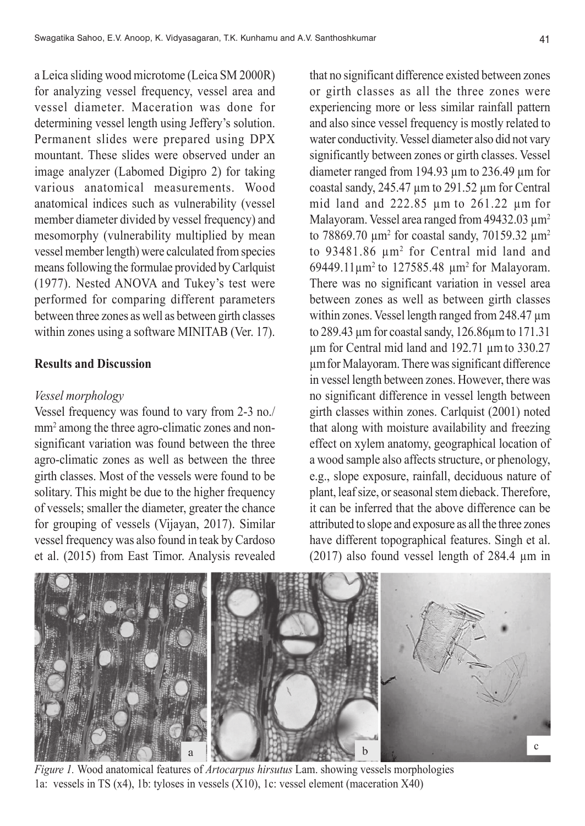a Leica sliding wood microtome (Leica SM 2000R) for analyzing vessel frequency, vessel area and vessel diameter. Maceration was done for determining vessel length using Jeffery's solution. Permanent slides were prepared using DPX mountant. These slides were observed under an image analyzer (Labomed Digipro 2) for taking various anatomical measurements. Wood anatomical indices such as vulnerability (vessel member diameter divided by vessel frequency) and mesomorphy (vulnerability multiplied by mean vessel member length) were calculated from species means following the formulae provided by Carlquist (1977). Nested ANOVA and Tukey's test were performed for comparing different parameters between three zones as well as between girth classes within zones using a software MINITAB (Ver. 17).

#### **Results and Discussion**

#### *Vessel morphology*

Vessel frequency was found to vary from 2-3 no./ mm<sup>2</sup> among the three agro-climatic zones and nonsignificant variation was found between the three agro-climatic zones as well as between the three girth classes. Most of the vessels were found to be solitary. This might be due to the higher frequency of vessels; smaller the diameter, greater the chance for grouping of vessels (Vijayan, 2017). Similar vessel frequency was also found in teak by Cardoso et al. (2015) from East Timor. Analysis revealed that no significant difference existed between zones or girth classes as all the three zones were experiencing more or less similar rainfall pattern and also since vessel frequency is mostly related to water conductivity. Vessel diameter also did not vary significantly between zones or girth classes. Vessel diameter ranged from 194.93 µm to 236.49 µm for coastal sandy, 245.47 µm to 291.52 µm for Central mid land and 222.85 µm to 261.22 µm for Malayoram. Vessel area ranged from  $49432.03 \text{ }\mu\text{m}^2$ to 78869.70  $\mu$ m<sup>2</sup> for coastal sandy, 70159.32  $\mu$ m<sup>2</sup> to 93481.86 µm2 for Central mid land and 69449.11µm2 to 127585.48 µm2 for Malayoram. There was no significant variation in vessel area between zones as well as between girth classes within zones. Vessel length ranged from 248.47  $\mu$ m to 289.43 µm for coastal sandy, 126.86µm to 171.31 µm for Central mid land and 192.71 µmto 330.27 µmfor Malayoram. There was significant difference in vessel length between zones. However, there was no significant difference in vessel length between girth classes within zones. Carlquist (2001) noted that along with moisture availability and freezing effect on xylem anatomy, geographical location of a wood sample also affects structure, or phenology, e.g., slope exposure, rainfall, deciduous nature of plant, leaf size, or seasonal stem dieback. Therefore, it can be inferred that the above difference can be attributed to slope and exposure as all the three zones have different topographical features. Singh et al. (2017) also found vessel length of 284.4 µm in



*Figure 1.* Wood anatomical features of *Artocarpus hirsutus* Lam. showing vessels morphologies 1a: vessels in TS (x4), 1b: tyloses in vessels (X10), 1c: vessel element (maceration X40)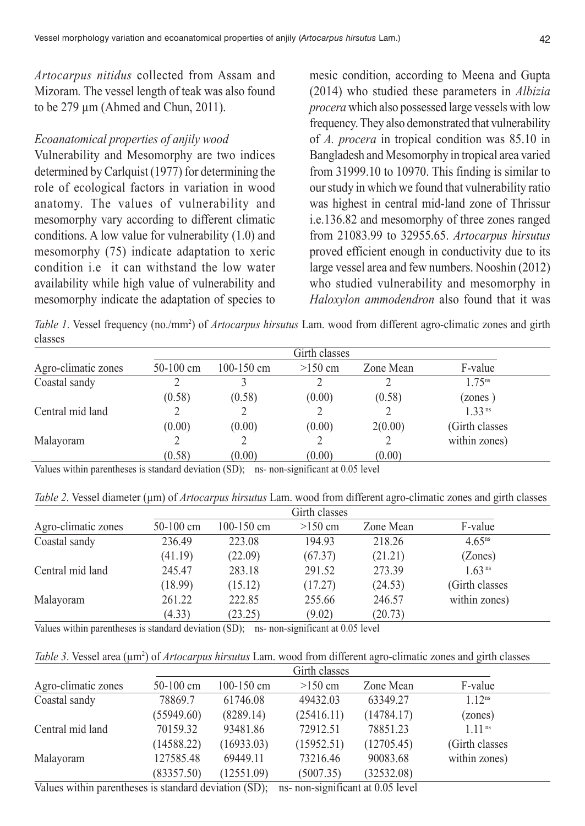*Artocarpus nitidus* collected from Assam and Mizoram*.* The vessel length of teak was also found to be 279 µm (Ahmed and Chun, 2011).

## *Ecoanatomical properties of anjily wood*

Vulnerability and Mesomorphy are two indices determined by Carlquist (1977) for determining the role of ecological factors in variation in wood anatomy. The values of vulnerability and mesomorphy vary according to different climatic conditions. A low value for vulnerability (1.0) and mesomorphy (75) indicate adaptation to xeric condition *i.e.* it can withstand the low water availability while high value of vulnerability and mesomorphy indicate the adaptation of species to

mesic condition, according to Meena and Gupta (2014) who studied these parameters in *Albizia procera* which also possessed large vessels with low frequency. They also demonstrated that vulnerability of *A. procera* in tropical condition was 85.10 in Bangladesh and Mesomorphy in tropical area varied from 31999.10 to 10970. This finding is similar to our study in which we found that vulnerability ratio was highest in central mid-land zone of Thrissur i.e.136.82 and mesomorphy of three zones ranged from 21083.99 to 32955.65. *Artocarpus hirsutus* proved efficient enough in conductivity due to its large vessel area and few numbers. Nooshin (2012) who studied vulnerability and mesomorphy in *Haloxylon ammodendron* also found that it was

Table 1. Vessel frequency (no./mm<sup>2</sup>) of *Artocarpus hirsutus* Lam. wood from different agro-climatic zones and girth classes

| Agro-climatic zones | Girth classes |            |           |           |                 |  |
|---------------------|---------------|------------|-----------|-----------|-----------------|--|
|                     | $50-100$ cm   | 100-150 cm | $>150$ cm | Zone Mean | F-value         |  |
| Coastal sandy       |               |            |           |           | $1.75^{ns}$     |  |
|                     | (0.58)        | (0.58)     | (0.00)    | (0.58)    | (zones)         |  |
| Central mid land    |               |            |           |           | $1, 33$ ns      |  |
|                     | (0.00)        | (0.00)     | (0.00)    | 2(0.00)   | (Girth classes) |  |
| Malayoram           |               |            |           |           | within zones)   |  |
|                     | (0.58)        | (0.00)     | (0.00)    | (0.00)    |                 |  |

Values within parentheses is standard deviation (SD); ns- non-significant at 0.05 level

*Table 2*. Vessel diameter (µm) of *Artocarpus hirsutus* Lam. wood from different agro-climatic zones and girth classes

| Agro-climatic zones | Girth classes |            |           |           |                      |  |
|---------------------|---------------|------------|-----------|-----------|----------------------|--|
|                     | $50-100$ cm   | 100-150 cm | $>150$ cm | Zone Mean | F-value              |  |
| Coastal sandy       | 236.49        | 223.08     | 194.93    | 218.26    | $4.65$ <sup>ns</sup> |  |
|                     | (41.19)       | (22.09)    | (67.37)   | (21.21)   | (Zones)              |  |
| Central mid land    | 245.47        | 283.18     | 291.52    | 273.39    | 1.63 <sup>ns</sup>   |  |
|                     | (18.99)       | (15.12)    | (17.27)   | (24.53)   | (Girth classes)      |  |
| Malayoram           | 261.22        | 222.85     | 255.66    | 246.57    | within zones)        |  |
|                     | (4.33)        | (23.25)    | (9.02)    | (20.73)   |                      |  |

Values within parentheses is standard deviation (SD); ns- non-significant at 0.05 level

| Table 3. Vessel area (µm <sup>2</sup> ) of <i>Artocarpus hirsutus</i> Lam. wood from different agro-climatic zones and girth classes |  |
|--------------------------------------------------------------------------------------------------------------------------------------|--|
|--------------------------------------------------------------------------------------------------------------------------------------|--|

|                                                              | Girth classes |                |                                  |            |                    |
|--------------------------------------------------------------|---------------|----------------|----------------------------------|------------|--------------------|
| Agro-climatic zones                                          | $50-100$ cm   | $100 - 150$ cm | $>150$ cm                        | Zone Mean  | F-value            |
| Coastal sandy                                                | 78869.7       | 61746.08       | 49432.03                         | 63349.27   | $1.12^{ns}$        |
|                                                              | (55949.60)    | (8289.14)      | (25416.11)                       | (14784.17) | (zones)            |
| Central mid land                                             | 70159.32      | 93481.86       | 72912.51                         | 78851.23   | 1.11 <sup>ns</sup> |
|                                                              | (14588.22)    | (16933.03)     | (15952.51)                       | (12705.45) | (Girth classes)    |
| Malayoram                                                    | 127585.48     | 69449.11       | 73216.46                         | 90083.68   | within zones)      |
|                                                              | (83357.50)    | (12551.09)     | (5007.35)                        | (32532.08) |                    |
| $V_0$ luga within naranthagas is standard deviation $(8D)$ . |               |                | no non gianificant of 0.05 lavel |            |                    |

Values within parentheses is standard deviation (SD); ns- non-significant at 0.05 level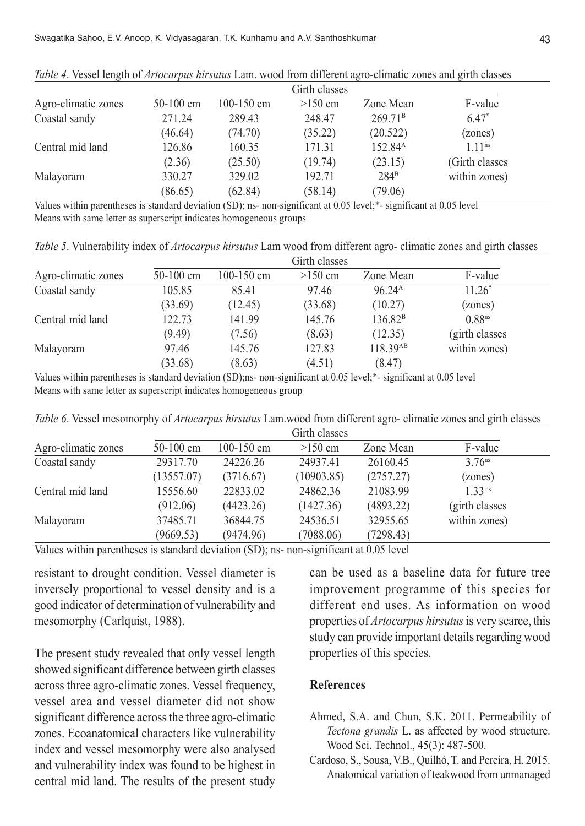|                     | Girth classes |                |           |                     |                      |
|---------------------|---------------|----------------|-----------|---------------------|----------------------|
| Agro-climatic zones | $50-100$ cm   | $100 - 150$ cm | $>150$ cm | Zone Mean           | F-value              |
| Coastal sandy       | 271.24        | 289.43         | 248.47    | 269.71 <sup>B</sup> | $6.47*$              |
|                     | (46.64)       | (74.70)        | (35.22)   | (20.522)            | (zones)              |
| Central mid land    | 126.86        | 160.35         | 171.31    | 152.84 <sup>A</sup> | $1.11$ <sup>ns</sup> |
|                     | (2.36)        | (25.50)        | (19.74)   | (23.15)             | (Girth classes)      |
| Malayoram           | 330.27        | 329.02         | 192.71    | $284^{\rm B}$       | within zones)        |
|                     | (86.65)       | (62.84)        | (58.14)   | (79.06)             |                      |

*Table 4*. Vessel length of *Artocarpus hirsutus* Lam. wood from different agro-climatic zones and girth classes

Values within parentheses is standard deviation (SD); ns- non-significant at 0.05 level;\*- significant at 0.05 level Means with same letter as superscript indicates homogeneous groups

*Table 5*. Vulnerability index of *Artocarpus hirsutus* Lam wood from different agro- climatic zones and girth classes

|                     | Girth classes |                |           |                     |                    |
|---------------------|---------------|----------------|-----------|---------------------|--------------------|
| Agro-climatic zones | $50-100$ cm   | $100 - 150$ cm | $>150$ cm | Zone Mean           | F-value            |
| Coastal sandy       | 105.85        | 85.41          | 97.46     | 96.24 <sup>A</sup>  | $11.26*$           |
|                     | (33.69)       | (12.45)        | (33.68)   | (10.27)             | (zones)            |
| Central mid land    | 122.73        | 141.99         | 145.76    | 136.82 <sup>B</sup> | 0.88 <sup>ns</sup> |
|                     | (9.49)        | (7.56)         | (8.63)    | (12.35)             | (girth classes)    |
| Malayoram           | 97.46         | 145.76         | 127.83    | 118.39AB            | within zones)      |
|                     | (33.68)       | (8.63)         | (4.51)    | (8.47)              |                    |

Values within parentheses is standard deviation (SD);ns- non-significant at 0.05 level;\*- significant at 0.05 level Means with same letter as superscript indicates homogeneous group

*Table 6*. Vessel mesomorphy of *Artocarpus hirsutus* Lam.wood from different agro- climatic zones and girth classes

|                                                                                                                                    | Girth classes |                |            |           |                      |
|------------------------------------------------------------------------------------------------------------------------------------|---------------|----------------|------------|-----------|----------------------|
| Agro-climatic zones                                                                                                                | $50-100$ cm   | $100 - 150$ cm | $>150$ cm  | Zone Mean | F-value              |
| Coastal sandy                                                                                                                      | 29317.70      | 24226.26       | 24937.41   | 26160.45  | $3.76$ <sup>ns</sup> |
|                                                                                                                                    | (13557.07)    | (3716.67)      | (10903.85) | (2757.27) | (zones)              |
| Central mid land                                                                                                                   | 15556.60      | 22833.02       | 24862.36   | 21083.99  | $1, 33$ ns           |
|                                                                                                                                    | (912.06)      | (4423.26)      | (1427.36)  | (4893.22) | (girth classes)      |
| Malayoram                                                                                                                          | 37485.71      | 36844.75       | 24536.51   | 32955.65  | within zones)        |
|                                                                                                                                    | (9669.53)     | (9474.96)      | (7088.06)  | (7298.43) |                      |
| $\mathbf{v}$ at $\mathbf{u}$ and $\mathbf{v}$ and $\mathbf{v}$ and $\mathbf{v}$ and $\mathbf{v}$ and $\mathbf{v}$ and $\mathbf{v}$ |               |                |            |           |                      |

Values within parentheses is standard deviation (SD); ns- non-significant at 0.05 level

resistant to drought condition. Vessel diameter is inversely proportional to vessel density and is a good indicator of determination of vulnerability and mesomorphy (Carlquist, 1988).

The present study revealed that only vessel length showed significant difference between girth classes across three agro-climatic zones. Vessel frequency, vessel area and vessel diameter did not show significant difference across the three agro-climatic zones. Ecoanatomical characters like vulnerability index and vessel mesomorphy were also analysed and vulnerability index was found to be highest in central mid land. The results of the present study

can be used as a baseline data for future tree improvement programme of this species for different end uses. As information on wood properties of *Artocarpus hirsutus* is very scarce, this study can provide important details regarding wood properties of this species.

## **References**

- Ahmed, S.A. and Chun, S.K. 2011. Permeability of *Tectona grandis* L. as affected by wood structure. Wood Sci. Technol., 45(3): 487-500.
- Cardoso, S., Sousa, V.B., Quilhó, T. and Pereira, H. 2015. Anatomical variation of teakwood from unmanaged